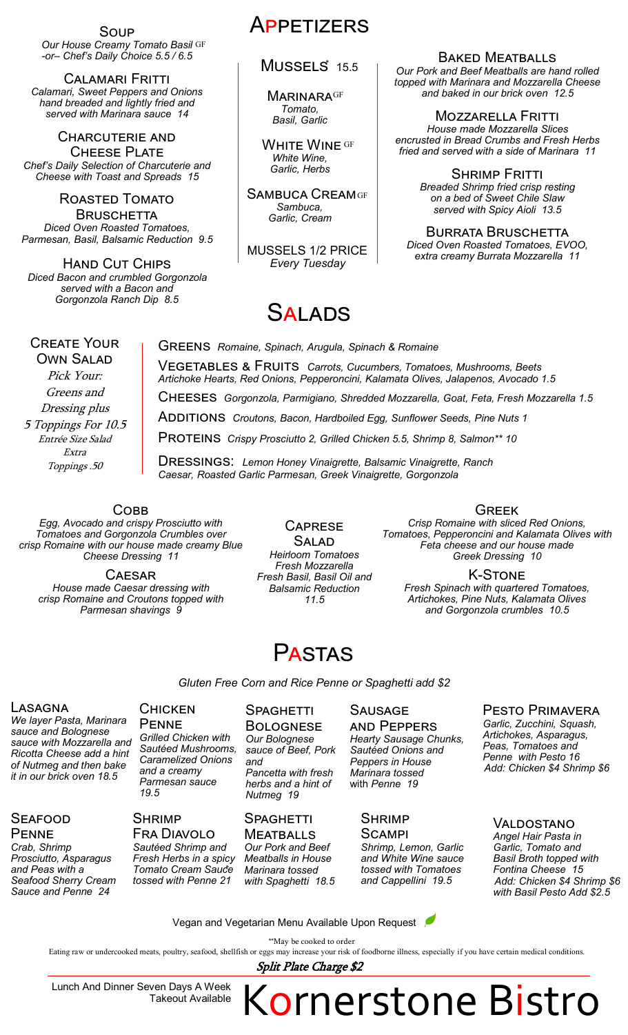**Our House Creamy Tomato Basil GF** Soup *-or– Chef's Daily Choice 5.5 / 6.5*

Calamari Fritti *Calamari, Sweet Peppers and Onions hand breaded and lightly fried and served with Marinara sauce 14*

Charcuterie and Cheese Plate *Chef's Daily Selection of Charcuterie and Cheese with Toast and Spreads 15*

Roasted Tomato **BRUSCHETTA** *Diced Oven Roasted Tomatoes, Parmesan, Basil, Balsamic Reduction 9.5*

Hand Cut Chips *Diced Bacon and crumbled Gorgonzola served with a Bacon and Gorgonzola Ranch Dip 8.5*

# **APPETIZERS**

## MUSSELS<sup>\*</sup> 15.5

**MARINARAGF** *Tomato, Basil, Garlic*

WHITE WINE GF *White Wine, Garlic, Herbs*

SAMBUCA CREAMGF *Sambuca, Garlic, Cream*

MUSSELS 1/2 PRICE *Every Tuesday*

# **SALADS**

Baked Meatballs

*Our Pork and Beef Meatballs are hand rolled topped with Marinara and Mozzarella Cheese and baked in our brick oven 12.5*

Mozzarella Fritti *House made Mozzarella Slices encrusted in Bread Crumbs and Fresh Herbs fried and served with a side of Marinara 11*

> **SHRIMP FRITTI** *Breaded Shrimp fried crisp resting on a bed of Sweet Chile Slaw served with Spicy Aioli 13.5*

Burrata Bruschetta *Diced Oven Roasted Tomatoes, EVOO, extra creamy Burrata Mozzarella 11*

### Create Your Own Salad

Pick Your: Greens and Dressing plus 5 Toppings For 10.5 Entrée Size Salad Extra Toppings .50

Greens *Romaine, Spinach, Arugula, Spinach & Romaine* Vegetables & Fruits *Carrots, Cucumbers, Tomatoes, Mushrooms, Beets Artichoke Hearts, Red Onions, Pepperoncini, Kalamata Olives, Jalapenos, Avocado 1.5* Cheeses*Gorgonzola, Parmigiano, Shredded Mozzarella, Goat, Feta, Fresh Mozzarella 1.5* Additions*Croutons, Bacon, Hardboiled Egg, Sunflower Seeds, Pine Nuts 1* PROTEINS *Crispy Prosciutto 2, Grilled Chicken 5.5, Shrimp 8, Salmon\*\* 10* 

Dressings: *Lemon Honey Vinaigrette, Balsamic Vinaigrette, Ranch Caesar, Roasted Garlic Parmesan, Greek Vinaigrette, Gorgonzola*

**COBB** 

*Egg, Avocado and crispy Prosciutto with Tomatoes and Gorgonzola Crumbles over crisp Romaine with our house made creamy Blue Cheese Dressing 11*

**CAESAR** *House made Caesar dressing with crisp Romaine and Croutons topped with Parmesan shavings 9*

Salad *Heirloom Tomatoes Fresh Mozzarella Fresh Basil, Basil Oil and Balsamic Reduction 11.5*

**CAPRESE** 

## Greek

*Crisp Romaine with sliced Red Onions, Tomatoes, Pepperoncini and Kalamata Olives with Feta cheese and our house made Greek Dressing 10* 

K-Stone *Fresh Spinach with quartered Tomatoes, Artichokes, Pine Nuts, Kalamata Olives and Gorgonzola crumbles 10.5*

# **PASTAS**

*Gluten Free Corn and Rice Penne or Spaghetti add \$2*

### **LASAGNA**

*We layer Pasta, Marinara sauce and Bolognese sauce with Mozzarella and Ricotta Cheese add a hint of Nutmeg and then bake it in our brick oven 18.5*

#### **SEAFOOD PENNE**

*Crab, Shrimp Prosciutto, Asparagus and Peas with a Seafood Sherry Cream Sauce and Penne 24*

**CHICKEN PENNE** *Grilled Chicken with Sautéed Mushrooms, Caramelized Onions and a creamy Parmesan sauce* 

## **SHRIMP** Fra Diavolo

*19.5*

\* *Tomato Cream Sauce Sautéed Shrimp and Fresh Herbs in a spicy tossed with Penne 21*

## **SPAGHETTI**

**BOLOGNESE** *Our Bolognese sauce of Beef, Pork and Pancetta with fresh herbs and a hint of Nutmeg 19*

#### Spaghetti Meatballs

*Our Pork and Beef Meatballs in House Marinara tossed with Spaghetti 18.5*

## **SAUSAGE**

and Peppers *Hearty Sausage Chunks, Sautéed Onions and Peppers in House Marinara tossed*  with *Penne 19*

## **SHRIMP**

Scampi *Shrimp, Lemon, Garlic and White Wine sauce tossed with Tomatoes and Cappellini 19.5*

Pesto Primavera *Garlic, Zucchini, Squash, Artichokes, Asparagus, Peas, Tomatoes and Penne with Pesto 16 Add: Chicken \$4 Shrimp \$6*

## Valdostano *Angel Hair Pasta in*

*Garlic, Tomato and Basil Broth topped with Fontina Cheese 15 Add: Chicken \$4 Shrimp \$6 with Basil Pesto Add \$2.5*

Vegan and Vegetarian Menu Available Upon Request

\*\*May be cooked to order

Eating raw or undercooked meats, poultry, seafood, shellfish or eggs may increase your risk of foodborne illness, especially if you have certain medical conditions.

Split Plate Charge \$2

Lunch And Dinner Seven Days A Week Takeout Available Kornerstone Bistro